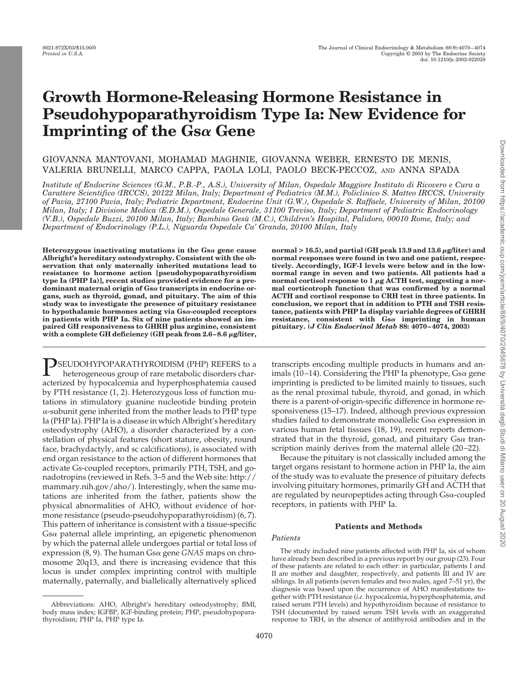# **Growth Hormone-Releasing Hormone Resistance in Pseudohypoparathyroidism Type Ia: New Evidence for Imprinting of the Gs** $\alpha$  **Gene**

# GIOVANNA MANTOVANI, MOHAMAD MAGHNIE, GIOVANNA WEBER, ERNESTO DE MENIS, VALERIA BRUNELLI, MARCO CAPPA, PAOLA LOLI, PAOLO BECK-PECCOZ, AND ANNA SPADA

*Institute of Endocrine Sciences (G.M., P.B.-P., A.S.), University of Milan, Ospedale Maggiore Instituto di Ricovero e Cura a Carattere Scientifico (IRCCS), 20122 Milan, Italy; Department of Pediatrics (M.M.), Policlinico S. Matteo IRCCS, University of Pavia, 27100 Pavia, Italy; Pediatric Department, Endocrine Unit (G.W.), Ospedale S. Raffaele, University of Milan, 20100 Milan, Italy; I Divisione Medica (E.D.M.), Ospedale Generale, 31100 Treviso, Italy; Department of Pediatric Endocrinology (V.B.), Ospedale Buzzi, 20100 Milan, Italy; Bambino Gesu` (M.C.), Children's Hospital, Palidoro, 00010 Rome, Italy; and Department of Endocrinology (P.L.), Niguarda Ospedale Ca' Granda, 20100 Milan, Italy*

Heterozygous inactivating mutations in the  $\text{G}_8\alpha$  gene cause **Albright's hereditary osteodystrophy. Consistent with the observation that only maternally inherited mutations lead to resistance to hormone action [pseudohypoparathyroidism type Ia (PHP Ia)], recent studies provided evidence for a pre**dominant maternal origin of Gsa transcripts in endocrine or**gans, such as thyroid, gonad, and pituitary. The aim of this study was to investigate the presence of pituitary resistance to hypothalamic hormones acting via Gs-coupled receptors in patients with PHP Ia. Six of nine patients showed an impaired GH responsiveness to GHRH plus arginine, consistent** with a complete GH deficiency (GH peak from 2.6-8.6  $\mu$ g/liter,

**PSEUDOHYPOPARATHYROIDISM (PHP) REFERS to a**<br>heterogeneous group of rare metabolic disorders char-<br>asterized by hyposalesmia and hyperphecabatemia squeed acterized by hypocalcemia and hyperphosphatemia caused by PTH resistance (1, 2). Heterozygous loss of function mutations in stimulatory guanine nucleotide binding protein  $\alpha$ -subunit gene inherited from the mother leads to PHP type Ia (PHP Ia). PHP Ia is a disease in which Albright's hereditary osteodystrophy (AHO), a disorder characterized by a constellation of physical features (short stature, obesity, round face, brachydactyly, and sc calcifications), is associated with end organ resistance to the action of different hormones that activate Gs-coupled receptors, primarily PTH, TSH, and gonadotropins (reviewed in Refs. 3–5 and the Web site: http:// mammary.nih.gov/aho/). Interestingly, when the same mutations are inherited from the father, patients show the physical abnormalities of AHO, without evidence of hormone resistance (pseudo-pseudohypoparathyroidism) (6, 7). This pattern of inheritance is consistent with a tissue-specific Gs $\alpha$  paternal allele imprinting, an epigenetic phenomenon by which the paternal allele undergoes partial or total loss of expression  $(8, 9)$ . The human  $Gs\alpha$  gene *GNAS* maps on chromosome 20q13, and there is increasing evidence that this locus is under complex imprinting control with multiple maternally, paternally, and biallelically alternatively spliced

 ${16.5}$ , and  ${partial}$  (GH  ${peak}$  13.9 and 13.6  $\mu$ g/liter) and **normal responses were found in two and one patient, respectively. Accordingly, IGF-I levels were below and in the lownormal range in seven and two patients. All patients had a** normal cortisol response to 1  $\mu$ g ACTH test, suggesting a nor**mal corticotroph function that was confirmed by a normal ACTH and cortisol response to CRH test in three patients. In conclusion, we report that in addition to PTH and TSH resistance, patients with PHP Ia display variable degrees of GHRH** resistance, consistent with  $\text{Gs}\alpha$  imprinting in human **pituitary. (***J Clin Endocrinol Metab* **88: 4070–4074, 2003)**

transcripts encoding multiple products in humans and animals (10–14). Considering the PHP Ia phenotype,  $Gs\alpha$  gene imprinting is predicted to be limited mainly to tissues, such as the renal proximal tubule, thyroid, and gonad, in which there is a parent-of-origin-specific difference in hormone responsiveness (15–17). Indeed, although previous expression studies failed to demonstrate monoallelic  $\mathsf{Gs}\alpha$  expression in various human fetal tissues (18, 19), recent reports demonstrated that in the thyroid, gonad, and pituitary  $\sigma$ sa transcription mainly derives from the maternal allele (20–22).

Because the pituitary is not classically included among the target organs resistant to hormone action in PHP Ia, the aim of the study was to evaluate the presence of pituitary defects involving pituitary hormones, primarily GH and ACTH that are regulated by neuropeptides acting through  $Gs\alpha$ -coupled receptors, in patients with PHP Ia.

# **Patients and Methods**

# *Patients*

The study included nine patients affected with PHP Ia, six of whom have already been described in a previous report by our group (23). Four of these patients are related to each other: in particular, patients I and II are mother and daughter, respectively, and patients III and IV are siblings. In all patients (seven females and two males, aged 7–51 yr), the diagnosis was based upon the occurrence of AHO manifestations together with PTH resistance (*i.e.* hypocalcemia, hyperphosphatemia, and raised serum PTH levels) and hypothyroidism because of resistance to TSH (documented by raised serum TSH levels with an exaggerated response to TRH, in the absence of antithyroid antibodies and in the

Abbreviations: AHO, Albright's hereditary osteodystrophy; BMI, body mass index; IGFBP, IGF-binding protein; PHP, pseudohypoparathyroidism; PHP Ia, PHP type Ia.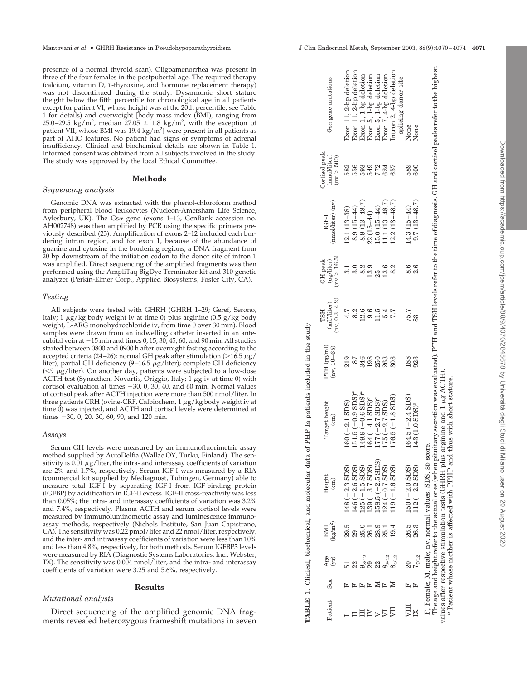presence of a normal thyroid scan). Oligoamenorrhea was present in three of the four females in the postpubertal age. The required therapy (calcium, vitamin D, l-thyroxine, and hormone replacement therapy) was not discontinued during the study. Dysarmonic short stature (height below the fifth percentile for chronological age in all patients except for patient VI, whose height was at the 20th percentile; see Table 1 for details) and overweight [body mass index (BMI), ranging from 25.0–29.5 kg/m<sup>2</sup>, median  $27.05 \pm 1.8$  kg/m<sup>2</sup>, with the exception of patient VII, whose BMI was 19.4 kg/m<sup>2</sup>] were present in all patients as part of AHO features. No patient had signs or symptoms of adrenal insufficiency. Clinical and biochemical details are shown in Table 1. Informed consent was obtained from all subjects involved in the study. The study was approved by the local Ethical Committee.

## **Methods**

#### *Sequencing analysis*

Genomic DNA was extracted with the phenol-chloroform method from peripheral blood leukocytes (Nucleon-Amersham Life Science, Aylesbury, UK). The  $Gs\alpha$  gene (exons 1–13, GenBank accession no. AH002748) was then amplified by PCR using the specific primers previously described (23). Amplification of exons 2–12 included each bordering intron region, and for exon 1, because of the abundance of guanine and cytosine in the bordering regions, a DNA fragment from 20 bp downstream of the initiation codon to the donor site of intron 1 was amplified. Direct sequencing of the amplified fragments was then performed using the AmpliTaq BigDye Terminator kit and 310 genetic analyzer (Perkin-Elmer Corp., Applied Biosystems, Foster City, CA).

#### *Testing*

All subjects were tested with GHRH (GHRH 1–29; Geref, Serono, Italy; 1 μg/kg body weight iv at time 0) plus arginine (0.5 g/kg body weight, L-ARG monohydrochloride iv, from time 0 over 30 min). Blood samples were drawn from an indwelling catheter inserted in an antecubital vein at  $-15$  min and times  $0$ , 15, 30, 45, 60, and 90 min. All studies started between 0800 and 0900 h after overnight fasting according to the accepted criteria (24–26): normal GH peak after stimulation ( $>$ 16.5  $\mu$ g/ liter); partial GH deficiency (9–16.5 µg/liter); complete GH deficiency  $(< 9 \mu g/l$ iter). On another day, patients were subjected to a low-dose ACTH test (Synacthen, Novartis, Origgio, Italy; 1  $\mu$ g iv at time 0) with cortisol evaluation at times -30, 0, 30, 40, and 60 min. Normal values of cortisol peak after ACTH injection were more than 500 nmol/liter. In three patients CRH (ovine-CRF, Calbiochem, 1  $\mu$ g/kg body weight iv at time 0) was injected, and ACTH and cortisol levels were determined at times -30, 0, 20, 30, 60, 90, and 120 min.

#### *Assays*

Serum GH levels were measured by an immunofluorimetric assay method supplied by AutoDelfia (Wallac OY, Turku, Finland). The sensitivity is 0.01  $\mu$ g/liter, the intra- and interassay coefficients of variation are 2% and 1.7%, respectively. Serum IGF-I was measured by a RIA (commercial kit supplied by Mediagnost, Tubingen, Germany) able to measure total IGF-I by separating IGF-I from IGF-binding protein (IGFBP) by acidification in IGF-II excess. IGF-II cross-reactivity was less than 0.05%; the intra- and interassay coefficients of variation was 3.2% and 7.4%, respectively. Plasma ACTH and serum cortisol levels were measured by immunoluminometric assay and luminescence immunoassay methods, respectively (Nichols Institute, San Juan Capistrano, CA). The sensitivity was 0.22 pmol/liter and 22 nmol/liter, respectively, and the inter- and intraassay coefficients of variation were less than 10% and less than 4.8%, respectively, for both methods. Serum IGFBP3 levels were measured by RIA (Diagnostic Systems Laboratories, Inc., Webster, TX). The sensitivity was 0.004 nmol/liter, and the intra- and interassay coefficients of variation were 3.25 and 5.6%, respectively.

## **Results**

#### *Mutational analysis*

Direct sequencing of the amplified genomic DNA fragments revealed heterozygous frameshift mutations in seven

| $G$ s $\alpha$ gene mutations                  |                  | Exon 11, 2-bp deletion<br>Exon 11, 2-bp deletion | 11, $2$ -bp deletion<br>1, $1$ -bp deletion<br>Exon 1, $1 - v_F$<br>$\rightarrow$ Exon 5, 1-bp deletion<br>772 Exon 5, 1-bp de <sup>1</sup><br>Exon 7, 4 <sup>3</sup> |                                                                               |                   | Intron 2, 4-bp deletion                                                                                                                                                                                                                                                                                                                                                                    | splicing donor site |                                                                                       | None<br>None                           |
|------------------------------------------------|------------------|--------------------------------------------------|-----------------------------------------------------------------------------------------------------------------------------------------------------------------------|-------------------------------------------------------------------------------|-------------------|--------------------------------------------------------------------------------------------------------------------------------------------------------------------------------------------------------------------------------------------------------------------------------------------------------------------------------------------------------------------------------------------|---------------------|---------------------------------------------------------------------------------------|----------------------------------------|
| Cortisol peak<br>(nmol/liter)<br>(nv > 500)    |                  |                                                  | 88639245<br>65655585                                                                                                                                                  |                                                                               |                   |                                                                                                                                                                                                                                                                                                                                                                                            |                     | 589<br>600                                                                            |                                        |
| $$\rm IGF-I$$ $$\rm (nmol/liter)$ $$\rm (nv)$$ | $2.1(13 - 38)$   |                                                  | $\begin{array}{c} 8.9 \ (15\text{--}\,44) \\ 8.9 \ (13\text{--}\,48.7) \end{array}$                                                                                   | $\begin{array}{c} 22 \ (15\text{--}44) \\ 15.0 \ (15\text{--}44) \end{array}$ |                   | $\begin{array}{c} 11.1 \ (13\text{--}\,48.7) \\ 12.2 \ (13\text{--}\,48.7) \end{array}$                                                                                                                                                                                                                                                                                                    |                     |                                                                                       | $\frac{14.3\ (15-44)}{9.7\ (13-48.7)}$ |
| nv > 16.5<br>GH peak<br>$(\mu g/\text{liter})$ |                  | $3.0$<br>$8.2$                                   |                                                                                                                                                                       |                                                                               | 0<br>2003<br>2003 |                                                                                                                                                                                                                                                                                                                                                                                            |                     |                                                                                       | 6.6<br>2.6                             |
| $nv, 0.3 - 4.2$<br>(mU/liter)<br>TSH           |                  |                                                  | $48000047$<br>$48000047$                                                                                                                                              |                                                                               |                   |                                                                                                                                                                                                                                                                                                                                                                                            |                     | $75.7$<br>83                                                                          |                                        |
| PTH $(pg/ml)$<br>(nv, 10–65)                   |                  |                                                  | <b>22232333</b><br>2349383                                                                                                                                            |                                                                               |                   |                                                                                                                                                                                                                                                                                                                                                                                            |                     | 188<br>923                                                                            |                                        |
| l'arget height<br>$\epsilon$ m                 | $160 (-2.1$ SDS) | $151.5 (-0.9$ SDS) <sup><i>a</i></sup>           | $149.9 (-0.6$ SDS) <sup>a</sup>                                                                                                                                       | $\frac{164}{177}(-4.1 \text{ SDS})^a}{(-2.7 \text{ SDS})^a}$                  | $175 (-2.7 SDS)$  | $176.5(-1.8$ SDS                                                                                                                                                                                                                                                                                                                                                                           |                     | $164.5 (-2.4$ SDS)                                                                    | $143 (1.0$ SDS) <sup>a</sup>           |
| $\frac{\text{Height}}{\text{(cm)}}$            |                  |                                                  |                                                                                                                                                                       |                                                                               |                   | $\begin{array}{l} 148 {\left(-2.3 \text{ SDS}\right)} \\ 146 {\left(-2.6 \text{ SDS}\right)} \\ 125 {\left(-1.5 \text{ SDS}\right)} \\ 128 {\left(-3.7 \text{ SDS}\right)} \\ 138 {\left(-2.7 \text{ SDS}\right)} \\ 158 {\left(-2.5 \text{ SDS}\right)} \\ 124 {\left(-0.7 \text{ SDS}\right)} \\ 119 {\left(-1.6 \text{ SDS}\right)} \\ 119 {\left(-1.6 \text{ SDS}\right)} \end{array}$ |                     | $\begin{array}{c} 150 \ (-2.0 \ \text{SDS}) \\ 112 \ (-2.2 \ \text{SDS}) \end{array}$ |                                        |
| $\frac{\rm BMI}{\rm kg/m^2}$                   |                  |                                                  |                                                                                                                                                                       |                                                                               |                   |                                                                                                                                                                                                                                                                                                                                                                                            |                     | $26.5$<br>$26.3$                                                                      |                                        |
| Age<br>(yr)                                    |                  |                                                  |                                                                                                                                                                       |                                                                               |                   |                                                                                                                                                                                                                                                                                                                                                                                            |                     |                                                                                       | 523<br>52332334<br>52332334            |
| Sex                                            |                  |                                                  |                                                                                                                                                                       |                                                                               | <b>NE</b>         |                                                                                                                                                                                                                                                                                                                                                                                            |                     |                                                                                       |                                        |
| atient                                         |                  |                                                  |                                                                                                                                                                       |                                                                               | 1                 | 貝                                                                                                                                                                                                                                                                                                                                                                                          |                     |                                                                                       |                                        |

**TABLE 1.** Clinical, biochemical, and molecular data of PHP Ia patients included in the study

TABLE 1. Clinical, biochemical, and molecular data of PHP Ia patients included in the study

F, Female; M, male; nv, normal values; SDS, SD score. F, Female; M, male; nv, normal values; SDS, SD score.

The age and height refer to the actual ones (when pituitary secretion was evaluated). PTH and TSH levels refer to the time of diagnosis. GH and cortisol peaks refer to the highest  $\Gamma$ The age and height refer to the actual ones (when pituitary secretion was evaluated). PTH and TSH levels refer to the time of diagnosis. GH and cortisol peaks refer to the highest -g ACTH). values after respective stimulation tests (GHRH plus arginine and 1

<sup>a</sup> Patient whose mother is affected with PPHP and thus with short stature. Patient whose mother is affected with PPHP and thus with short stature.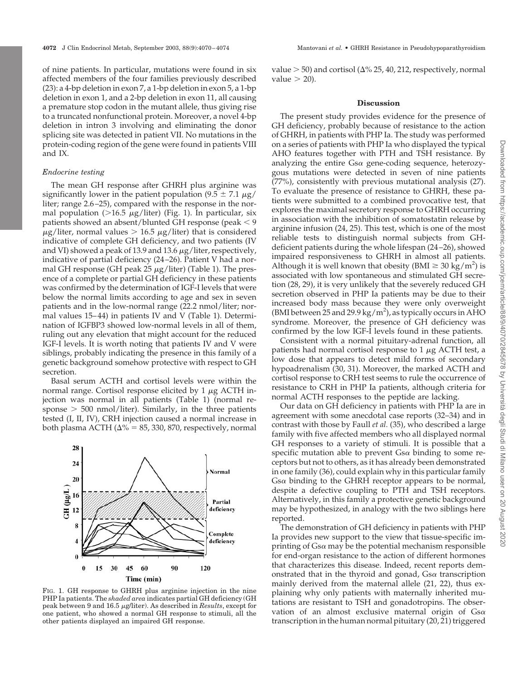of nine patients. In particular, mutations were found in six affected members of the four families previously described (23): a 4-bp deletion in exon 7, a 1-bp deletion in exon 5, a 1-bp deletion in exon 1, and a 2-bp deletion in exon 11, all causing a premature stop codon in the mutant allele, thus giving rise to a truncated nonfunctional protein. Moreover, a novel 4-bp deletion in intron 3 involving and eliminating the donor splicing site was detected in patient VII. No mutations in the protein-coding region of the gene were found in patients VIII and IX.

## *Endocrine testing*

The mean GH response after GHRH plus arginine was significantly lower in the patient population  $(9.5 \pm 7.1 \,\mu g)$ liter; range 2.6–25), compared with the response in the normal population ( $>$ 16.5  $\mu$ g/liter) (Fig. 1). In particular, six patients showed an absent/blunted GH response (peak  $<$  9  $\mu$ g/liter, normal values  $> 16.5$   $\mu$ g/liter) that is considered indicative of complete GH deficiency, and two patients (IV and VI) showed a peak of 13.9 and 13.6  $\mu{\rm g}/$  liter, respectively, indicative of partial deficiency (24–26). Patient V had a normal GH response (GH peak 25  $\mu$ g/liter) (Table 1). The presence of a complete or partial GH deficiency in these patients was confirmed by the determination of IGF-I levels that were below the normal limits according to age and sex in seven patients and in the low-normal range (22.2 nmol/liter; normal values 15–44) in patients IV and V (Table 1). Determination of IGFBP3 showed low-normal levels in all of them, ruling out any elevation that might account for the reduced IGF-I levels. It is worth noting that patients IV and V were siblings, probably indicating the presence in this family of a genetic background somehow protective with respect to GH secretion.

Basal serum ACTH and cortisol levels were within the normal range. Cortisol response elicited by 1  $\mu$ g ACTH injection was normal in all patients (Table 1) (normal response  $> 500$  nmol/liter). Similarly, in the three patients tested (I, II, IV), CRH injection caused a normal increase in both plasma ACTH ( $\Delta\%$  = 85, 330, 870, respectively, normal



FIG. 1. GH response to GHRH plus arginine injection in the nine PHP Ia patients. The *shaded area* indicates partial GH deficiency (GH peak between 9 and 16.5  $\mu$ g/liter). As described in *Results*, except for one patient, who showed a normal GH response to stimuli, all the other patients displayed an impaired GH response.

value  $>$  50) and cortisol ( $\Delta\%$  25, 40, 212, respectively, normal value  $>$  20).

## **Discussion**

The present study provides evidence for the presence of GH deficiency, probably because of resistance to the action of GHRH, in patients with PHP Ia. The study was performed on a series of patients with PHP Ia who displayed the typical AHO features together with PTH and TSH resistance. By analyzing the entire  $Gs\alpha$  gene-coding sequence, heterozygous mutations were detected in seven of nine patients (77%), consistently with previous mutational analysis (27). To evaluate the presence of resistance to GHRH, these patients were submitted to a combined provocative test, that explores the maximal secretory response to GHRH occurring in association with the inhibition of somatostatin release by arginine infusion (24, 25). This test, which is one of the most reliable tests to distinguish normal subjects from GHdeficient patients during the whole lifespan (24–26), showed impaired responsiveness to GHRH in almost all patients. Although it is well known that obesity (BMI  $\geq 30 \text{ kg/m}^2$ ) is associated with low spontaneous and stimulated GH secretion (28, 29), it is very unlikely that the severely reduced GH secretion observed in PHP Ia patients may be due to their increased body mass because they were only overweight (BMI between  $25$  and  $29.9$  kg/m<sup>2</sup>), as typically occurs in AHO syndrome. Moreover, the presence of GH deficiency was confirmed by the low IGF-I levels found in these patients.

Consistent with a normal pituitary-adrenal function, all patients had normal cortisol response to 1  $\mu$ g ACTH test, a low dose that appears to detect mild forms of secondary hypoadrenalism (30, 31). Moreover, the marked ACTH and cortisol response to CRH test seems to rule the occurrence of resistance to CRH in PHP Ia patients, although criteria for normal ACTH responses to the peptide are lacking.

Our data on GH deficiency in patients with PHP Ia are in agreement with some anecdotal case reports (32–34) and in contrast with those by Faull *et al.* (35), who described a large family with five affected members who all displayed normal GH responses to a variety of stimuli. It is possible that a specific mutation able to prevent  $Gs\alpha$  binding to some receptors but not to others, as it has already been demonstrated in one family (36), could explain why in this particular family  $G$ s $\alpha$  binding to the GHRH receptor appears to be normal, despite a defective coupling to PTH and TSH receptors. Alternatively, in this family a protective genetic background may be hypothesized, in analogy with the two siblings here reported.

The demonstration of GH deficiency in patients with PHP Ia provides new support to the view that tissue-specific imprinting of  $Gs\alpha$  may be the potential mechanism responsible for end-organ resistance to the action of different hormones that characterizes this disease. Indeed, recent reports demonstrated that in the thyroid and gonad,  $Gs\alpha$  transcription mainly derived from the maternal allele (21, 22), thus explaining why only patients with maternally inherited mutations are resistant to TSH and gonadotropins. The observation of an almost exclusive maternal origin of  $Gs\alpha$ transcription in the human normal pituitary (20, 21) triggered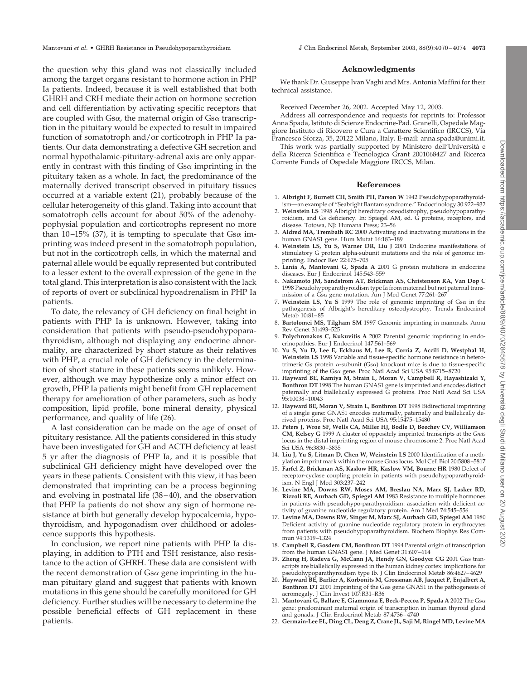the question why this gland was not classically included among the target organs resistant to hormone action in PHP Ia patients. Indeed, because it is well established that both GHRH and CRH mediate their action on hormone secretion and cell differentiation by activating specific receptors that are coupled with Gs $\alpha$ , the maternal origin of Gs $\alpha$  transcription in the pituitary would be expected to result in impaired function of somatotroph and/or corticotroph in PHP Ia patients. Our data demonstrating a defective GH secretion and normal hypothalamic-pituitary-adrenal axis are only apparently in contrast with this finding of  $Gs\alpha$  imprinting in the pituitary taken as a whole. In fact, the predominance of the maternally derived transcript observed in pituitary tissues occurred at a variable extent (21), probably because of the cellular heterogeneity of this gland. Taking into account that somatotroph cells account for about 50% of the adenohypophysial population and corticotrophs represent no more than 10–15% (37), it is tempting to speculate that  $Gs\alpha$  imprinting was indeed present in the somatotroph population, but not in the corticotroph cells, in which the maternal and paternal allele would be equally represented but contributed to a lesser extent to the overall expression of the gene in the total gland. This interpretation is also consistent with the lack of reports of overt or subclinical hypoadrenalism in PHP Ia patients.

To date, the relevancy of GH deficiency on final height in patients with PHP Ia is unknown. However, taking into consideration that patients with pseudo-pseudohypoparathyroidism, although not displaying any endocrine abnormality, are characterized by short stature as their relatives with PHP, a crucial role of GH deficiency in the determination of short stature in these patients seems unlikely. However, although we may hypothesize only a minor effect on growth, PHP Ia patients might benefit from GH replacement therapy for amelioration of other parameters, such as body composition, lipid profile, bone mineral density, physical performance, and quality of life (26).

A last consideration can be made on the age of onset of pituitary resistance. All the patients considered in this study have been investigated for GH and ACTH deficiency at least 5 yr after the diagnosis of PHP Ia, and it is possible that subclinical GH deficiency might have developed over the years in these patients. Consistent with this view, it has been demonstrated that imprinting can be a process beginning and evolving in postnatal life (38–40), and the observation that PHP Ia patients do not show any sign of hormone resistance at birth but generally develop hypocalcemia, hypothyroidism, and hypogonadism over childhood or adolescence supports this hypothesis.

In conclusion, we report nine patients with PHP Ia displaying, in addition to PTH and TSH resistance, also resistance to the action of GHRH. These data are consistent with the recent demonstration of  $Gs\alpha$  gene imprinting in the human pituitary gland and suggest that patients with known mutations in this gene should be carefully monitored for GH deficiency. Further studies will be necessary to determine the possible beneficial effects of GH replacement in these patients.

## **Acknowledgments**

We thank Dr. Giuseppe Ivan Vaghi and Mrs. Antonia Maffini for their technical assistance.

#### Received December 26, 2002. Accepted May 12, 2003.

Address all correspondence and requests for reprints to: Professor Anna Spada, Istituto di Scienze Endocrine-Pad. Granelli, Ospedale Maggiore Instituto di Ricovero e Cura a Carattere Scientifico (IRCCS), Via Francesco Sforza, 35, 20122 Milano, Italy. E-mail: anna.spada@unimi.it.

This work was partially supported by Ministero dell'Universita` e della Ricerca Scientifica e Tecnologica Grant 2001068427 and Ricerca Corrente Funds of Ospedale Maggiore IRCCS, Milan.

#### **References**

- 1. **Albright F, Burnett CH, Smith PH, Parson W** 1942 Pseudohypoparathyroidism—an example of "Seabright Bantam syndrome." Endocrinology 30:922–932
- 2. **Weinstein LS** 1998 Albright hereditary osteodistrophy, pseudohypoparathyroidism, and Gs deficiency. In: Spiegel AM, ed. G proteins, receptors, and disease. Totowa, NJ: Humana Press; 23–56
- 3. **Aldred MA, Trembath RC** 2000 Activating and inactivating mutations in the human GNAS1 gene. Hum Mutat 16:183–189
- 4. **Weinstein LS, Yu S, Warner DR, Liu J** 2001 Endocrine manifestations of stimulatory G protein alpha-subunit mutations and the role of genomic imprinting. Endocr Rev 22:675–705
- 5. **Lania A, Mantovani G, Spada A** 2001 G protein mutations in endocrine diseases. Eur J Endocrinol 145:543–559
- 6. **Nakamoto JM, Sandstrom AT, Brickman AS, Christenson RA, Van Dop C** 1998 Pseudohypoparathyroidism type Ia from maternal but not paternal transmission of a  $Gs\alpha$  gene mutation. Am J Med Genet 77:261-267
- 7. Weinstein LS, Yu S 1999 The role of genomic imprinting of  $Gs\alpha$  in the pathogenesis of Albright's hereditary osteodystrophy. Trends Endocrinol Metab 10:81–85
- 8. **Bartolomei MS, Tilgham SM** 1997 Genomic imprinting in mammals. Annu Rev Genet 31:493-525
- 9. **Polychronakos C, Kukuvitis A** 2002 Parental genomic imprinting in endocrinopathies. Eur J Endocrinol 147:561–569
- 10. **Yu S, Yu D, Lee E, Eckhaus M, Lee R, Corria Z, Accili D, Westphal H, Weinstein LS** 1998 Variable and tissue-specific hormone resistance in heterotrimeric Gs protein  $\alpha$ -subunit (Gs $\alpha$ ) knockout mice is due to tissue-specific imprinting of the Gs $\alpha$  gene. Proc Natl Acad Sci USA 95:8715–8720
- 11. **Hayward BE, Kamiya M, Strain L, Moran V, Campbell R, Hayashizaki Y, Bonthron DT** 1998 The human GNAS1 gene is imprinted and encodes distinct paternally and biallelically expressed G proteins. Proc Natl Acad Sci USA 95:10038–10043
- 12. **Hayward BE, Moran V, Strain L, Bonthron DT** 1998 Bidirectional imprinting of a single gene: GNAS1 encodes maternally, paternally and biallelically derived proteins. Proc Natl Acad Sci USA 95:15475–15480
- 13. **Peters J, Wroe SF, Wells CA, Miller HJ, Bodle D, Beechey CV, Williamson CM, Kelsey G** 1999 A cluster of oppositely imprinted transcripts at the *Gnas* locus in the distal imprinting region of mouse chromosome 2. Proc Natl Acad Sci USA 96:3830–3835
- 14. **Liu J, Yu S, Litman D, Chen W, Weinstein LS** 2000 Identification of a methylation imprint mark within the mouse Gnas locus. Mol Cell Biol 20:5808–5817
- 15. **Farfel Z, Brickman AS, Kaslow HR, Kaslow VM, Bourne HR** 1980 Defect of receptor-cyclase coupling protein in patients with pseudohypoparathyroidism. N Engl J Med 303:237–242
- 16. **Levine MA, Downs RW, Moses AM, Breslau NA, Marx SJ, Lasker RD, Rizzoli RE, Aurbach GD, Spiegel AM** 1983 Resistance to multiple hormones in patients with pseudohypo-parathyroidism: association with deficient activity of guanine nucleotide regulatory protein. Am J Med 74:545–556
- 17. **Levine MA, Downs RW, Singer M, Marx SJ, Aurbach GD, Spiegel AM** 1980 Deficient activity of guanine nucleotide regulatory protein in erythrocytes from patients with pseudohypoparathyroidism. Biochem Biophys Res Commun 94:1319–1324
- 18. **Campbell R, Gosdem CM, Bonthron DT** 1994 Parental origin of transcription from the human GNAS1 gene. J Med Genet 31:607–614
- 19. Zheng H, Radeva G, McCann JA, Hendy GN, Goodyer CG 2001 Gas transcripts are biallelically expressed in the human kidney cortex: implications for pseudohypoparathyroidism type Ib. J Clin Endocrinol Metab 86:4627–4629
- 20. **Hayward BE, Barlier A, Korbonits M, Grossman AB, Jacquet P, Enjalbert A, Bonthron DT** 2001 Imprinting of the Gas gene GNAS1 in the pathogenesis of acromegaly. J Clin Invest 107:R31–R36
- 21. **Mantovani G, Ballare E, Giammona E, Beck-Peccoz P, Spada A** 2002 The Gs gene: predominant maternal origin of transcription in human thyroid gland and gonads. J Clin Endocrinol Metab 87:4736–4740
- 22. **Germain-Lee EL, Ding CL, Deng Z, Crane JL, Saji M, Ringel MD, Levine MA**